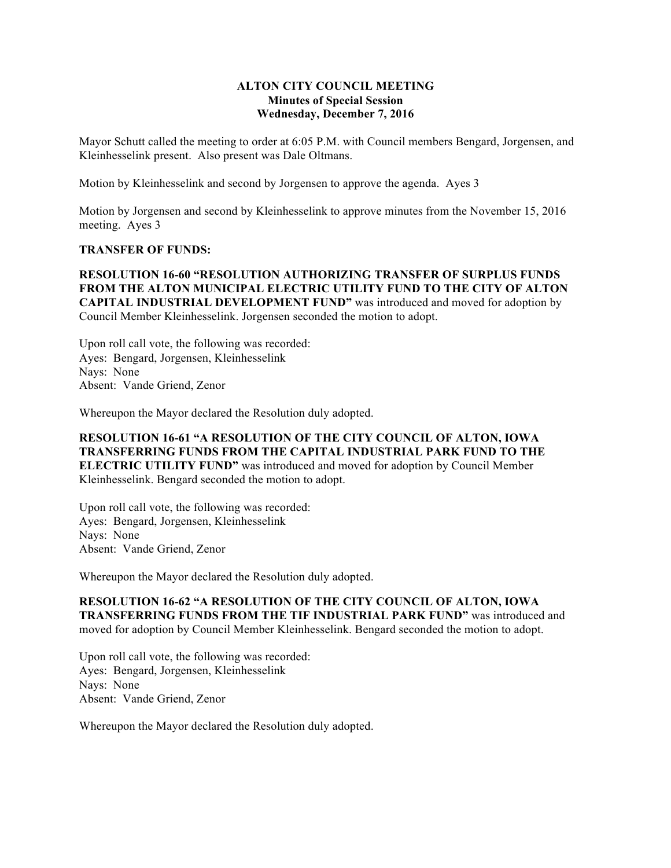## **ALTON CITY COUNCIL MEETING Minutes of Special Session Wednesday, December 7, 2016**

Mayor Schutt called the meeting to order at 6:05 P.M. with Council members Bengard, Jorgensen, and Kleinhesselink present. Also present was Dale Oltmans.

Motion by Kleinhesselink and second by Jorgensen to approve the agenda. Ayes 3

Motion by Jorgensen and second by Kleinhesselink to approve minutes from the November 15, 2016 meeting. Ayes 3

## **TRANSFER OF FUNDS:**

**RESOLUTION 16-60 "RESOLUTION AUTHORIZING TRANSFER OF SURPLUS FUNDS FROM THE ALTON MUNICIPAL ELECTRIC UTILITY FUND TO THE CITY OF ALTON CAPITAL INDUSTRIAL DEVELOPMENT FUND"** was introduced and moved for adoption by Council Member Kleinhesselink. Jorgensen seconded the motion to adopt.

Upon roll call vote, the following was recorded: Ayes: Bengard, Jorgensen, Kleinhesselink Nays: None Absent: Vande Griend, Zenor

Whereupon the Mayor declared the Resolution duly adopted.

**RESOLUTION 16-61 "A RESOLUTION OF THE CITY COUNCIL OF ALTON, IOWA TRANSFERRING FUNDS FROM THE CAPITAL INDUSTRIAL PARK FUND TO THE ELECTRIC UTILITY FUND"** was introduced and moved for adoption by Council Member Kleinhesselink. Bengard seconded the motion to adopt.

Upon roll call vote, the following was recorded: Ayes: Bengard, Jorgensen, Kleinhesselink Nays: None Absent: Vande Griend, Zenor

Whereupon the Mayor declared the Resolution duly adopted.

**RESOLUTION 16-62 "A RESOLUTION OF THE CITY COUNCIL OF ALTON, IOWA TRANSFERRING FUNDS FROM THE TIF INDUSTRIAL PARK FUND"** was introduced and moved for adoption by Council Member Kleinhesselink. Bengard seconded the motion to adopt.

Upon roll call vote, the following was recorded: Ayes: Bengard, Jorgensen, Kleinhesselink Nays: None Absent: Vande Griend, Zenor

Whereupon the Mayor declared the Resolution duly adopted.